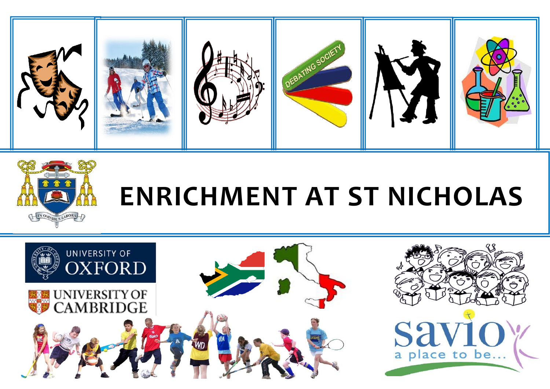



## **ENRICHMENT AT ST NICHOLAS**

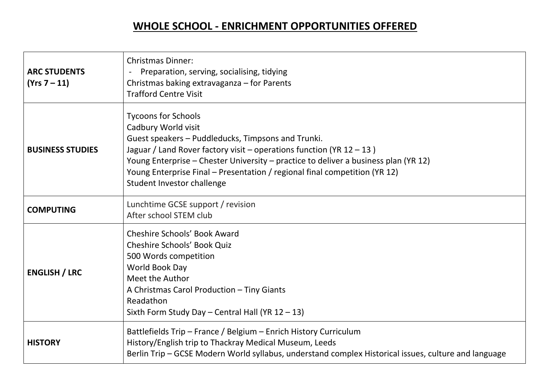## **WHOLE SCHOOL - ENRICHMENT OPPORTUNITIES OFFERED**

| <b>ARC STUDENTS</b><br>(Yrs 7 – 11) | <b>Christmas Dinner:</b><br>Preparation, serving, socialising, tidying<br>Christmas baking extravaganza - for Parents<br><b>Trafford Centre Visit</b>                                                                                                                                                                                                                                 |
|-------------------------------------|---------------------------------------------------------------------------------------------------------------------------------------------------------------------------------------------------------------------------------------------------------------------------------------------------------------------------------------------------------------------------------------|
| <b>BUSINESS STUDIES</b>             | <b>Tycoons for Schools</b><br>Cadbury World visit<br>Guest speakers - Puddleducks, Timpsons and Trunki.<br>Jaguar / Land Rover factory visit – operations function (YR $12 - 13$ )<br>Young Enterprise - Chester University - practice to deliver a business plan (YR 12)<br>Young Enterprise Final - Presentation / regional final competition (YR 12)<br>Student Investor challenge |
| <b>COMPUTING</b>                    | Lunchtime GCSE support / revision<br>After school STEM club                                                                                                                                                                                                                                                                                                                           |
| <b>ENGLISH / LRC</b>                | Cheshire Schools' Book Award<br><b>Cheshire Schools' Book Quiz</b><br>500 Words competition<br>World Book Day<br>Meet the Author<br>A Christmas Carol Production - Tiny Giants<br>Readathon<br>Sixth Form Study Day - Central Hall (YR 12 - 13)                                                                                                                                       |
| <b>HISTORY</b>                      | Battlefields Trip - France / Belgium - Enrich History Curriculum<br>History/English trip to Thackray Medical Museum, Leeds<br>Berlin Trip - GCSE Modern World syllabus, understand complex Historical issues, culture and language                                                                                                                                                    |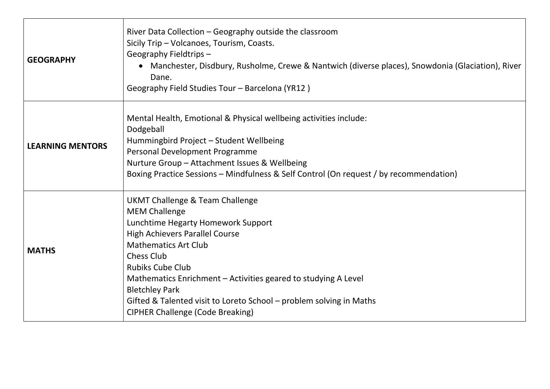| <b>GEOGRAPHY</b>        | River Data Collection – Geography outside the classroom<br>Sicily Trip - Volcanoes, Tourism, Coasts.<br>Geography Fieldtrips-<br>• Manchester, Disdbury, Rusholme, Crewe & Nantwich (diverse places), Snowdonia (Glaciation), River<br>Dane.<br>Geography Field Studies Tour - Barcelona (YR12)                                                                                                                                    |
|-------------------------|------------------------------------------------------------------------------------------------------------------------------------------------------------------------------------------------------------------------------------------------------------------------------------------------------------------------------------------------------------------------------------------------------------------------------------|
| <b>LEARNING MENTORS</b> | Mental Health, Emotional & Physical wellbeing activities include:<br>Dodgeball<br>Hummingbird Project - Student Wellbeing<br>Personal Development Programme<br>Nurture Group - Attachment Issues & Wellbeing<br>Boxing Practice Sessions - Mindfulness & Self Control (On request / by recommendation)                                                                                                                             |
| <b>MATHS</b>            | UKMT Challenge & Team Challenge<br><b>MEM Challenge</b><br>Lunchtime Hegarty Homework Support<br><b>High Achievers Parallel Course</b><br><b>Mathematics Art Club</b><br><b>Chess Club</b><br><b>Rubiks Cube Club</b><br>Mathematics Enrichment – Activities geared to studying A Level<br><b>Bletchley Park</b><br>Gifted & Talented visit to Loreto School – problem solving in Maths<br><b>CIPHER Challenge (Code Breaking)</b> |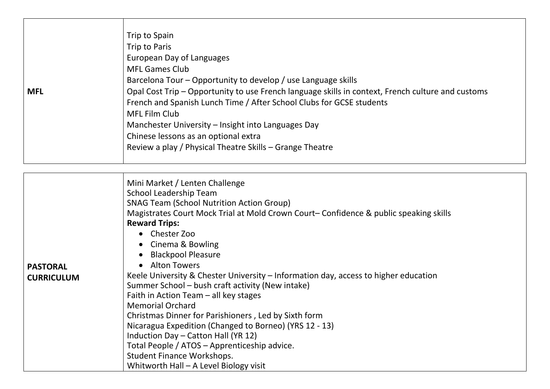| <b>MFL</b> | Trip to Spain<br>Trip to Paris<br>European Day of Languages<br><b>MFL Games Club</b><br>Barcelona Tour - Opportunity to develop / use Language skills<br>Opal Cost Trip - Opportunity to use French language skills in context, French culture and customs<br>French and Spanish Lunch Time / After School Clubs for GCSE students<br><b>MFL Film Club</b><br>Manchester University – Insight into Languages Day |  |
|------------|------------------------------------------------------------------------------------------------------------------------------------------------------------------------------------------------------------------------------------------------------------------------------------------------------------------------------------------------------------------------------------------------------------------|--|
|            | Chinese lessons as an optional extra<br>Review a play / Physical Theatre Skills - Grange Theatre                                                                                                                                                                                                                                                                                                                 |  |
|            |                                                                                                                                                                                                                                                                                                                                                                                                                  |  |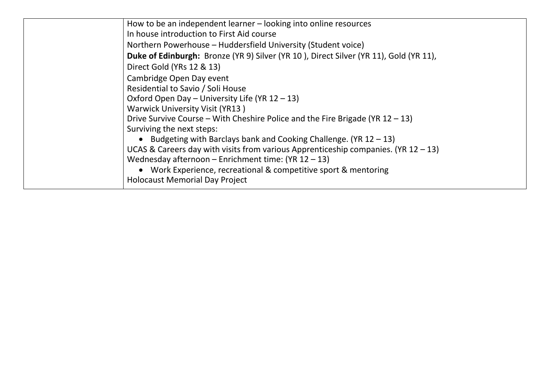| How to be an independent learner – looking into online resources                      |
|---------------------------------------------------------------------------------------|
| In house introduction to First Aid course                                             |
| Northern Powerhouse - Huddersfield University (Student voice)                         |
| Duke of Edinburgh: Bronze (YR 9) Silver (YR 10), Direct Silver (YR 11), Gold (YR 11), |
| Direct Gold (YRs 12 & 13)                                                             |
| Cambridge Open Day event                                                              |
| Residential to Savio / Soli House                                                     |
| Oxford Open Day - University Life (YR 12 - 13)                                        |
| <b>Warwick University Visit (YR13)</b>                                                |
| Drive Survive Course – With Cheshire Police and the Fire Brigade (YR $12 - 13$ )      |
| Surviving the next steps:                                                             |
| • Budgeting with Barclays bank and Cooking Challenge. (YR $12 - 13$ )                 |
| UCAS & Careers day with visits from various Apprenticeship companies. (YR $12 - 13$ ) |
| Wednesday afternoon - Enrichment time: $(YR 12 - 13)$                                 |
| • Work Experience, recreational & competitive sport & mentoring                       |
| <b>Holocaust Memorial Day Project</b>                                                 |
|                                                                                       |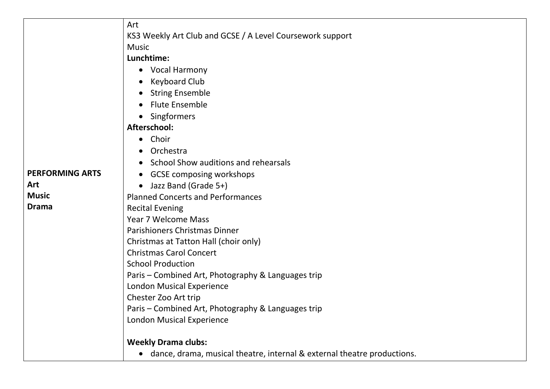|                        | Art                                                                       |
|------------------------|---------------------------------------------------------------------------|
|                        | KS3 Weekly Art Club and GCSE / A Level Coursework support                 |
|                        | <b>Music</b>                                                              |
|                        | Lunchtime:                                                                |
|                        | Vocal Harmony<br>$\bullet$                                                |
|                        | <b>Keyboard Club</b><br>$\bullet$                                         |
|                        | <b>String Ensemble</b><br>$\bullet$                                       |
|                        | <b>Flute Ensemble</b>                                                     |
|                        | Singformers<br>$\bullet$                                                  |
|                        | Afterschool:                                                              |
|                        | Choir<br>$\bullet$                                                        |
|                        | Orchestra                                                                 |
|                        | School Show auditions and rehearsals<br>$\bullet$                         |
| <b>PERFORMING ARTS</b> | <b>GCSE composing workshops</b><br>$\bullet$                              |
| Art                    | Jazz Band (Grade 5+)<br>$\bullet$                                         |
| <b>Music</b>           | <b>Planned Concerts and Performances</b>                                  |
| <b>Drama</b>           | <b>Recital Evening</b>                                                    |
|                        | <b>Year 7 Welcome Mass</b>                                                |
|                        | Parishioners Christmas Dinner                                             |
|                        | Christmas at Tatton Hall (choir only)                                     |
|                        | <b>Christmas Carol Concert</b>                                            |
|                        | <b>School Production</b>                                                  |
|                        | Paris - Combined Art, Photography & Languages trip                        |
|                        | <b>London Musical Experience</b>                                          |
|                        | Chester Zoo Art trip                                                      |
|                        | Paris - Combined Art, Photography & Languages trip                        |
|                        | <b>London Musical Experience</b>                                          |
|                        | <b>Weekly Drama clubs:</b>                                                |
|                        | • dance, drama, musical theatre, internal & external theatre productions. |